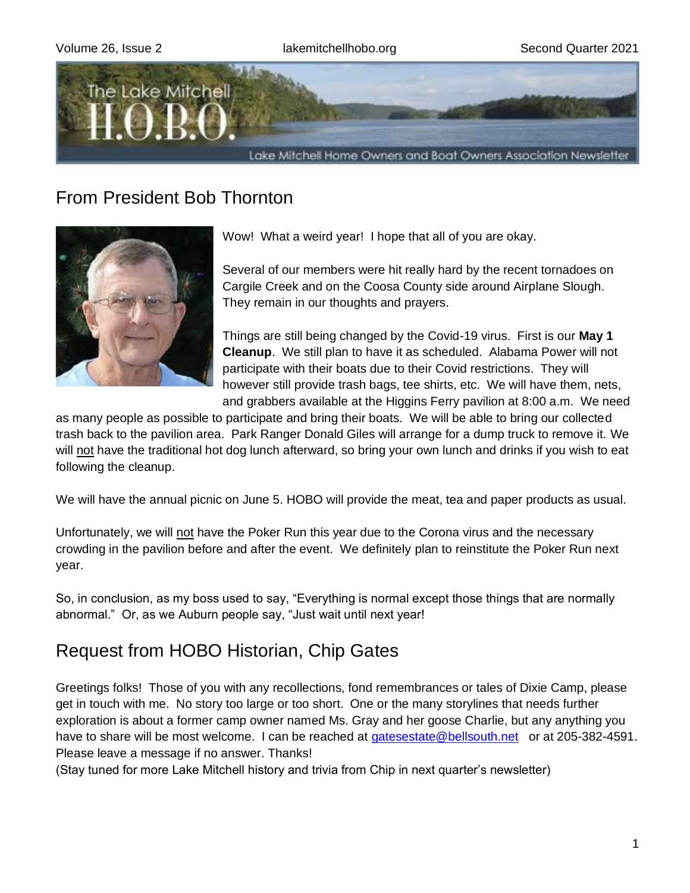

## From President Bob Thornton



Wow! What a weird year! I hope that all of you are okay.

Several of our members were hit really hard by the recent tornadoes on Cargile Creek and on the Coosa County side around Airplane Slough. They remain in our thoughts and prayers.

Things are still being changed by the Covid-19 virus. First is our **May 1 Cleanup**. We still plan to have it as scheduled. Alabama Power will not participate with their boats due to their Covid restrictions. They will however still provide trash bags, tee shirts, etc. We will have them, nets, and grabbers available at the Higgins Ferry pavilion at 8:00 a.m. We need

as many people as possible to participate and bring their boats. We will be able to bring our collected trash back to the pavilion area. Park Ranger Donald Giles will arrange for a dump truck to remove it. We will not have the traditional hot dog lunch afterward, so bring your own lunch and drinks if you wish to eat following the cleanup.

We will have the annual picnic on June 5. HOBO will provide the meat, tea and paper products as usual.

Unfortunately, we will not have the Poker Run this year due to the Corona virus and the necessary crowding in the pavilion before and after the event. We definitely plan to reinstitute the Poker Run next year.

So, in conclusion, as my boss used to say, "Everything is normal except those things that are normally abnormal." Or, as we Auburn people say, "Just wait until next year!

## Request from HOBO Historian, Chip Gates

Greetings folks! Those of you with any recollections, fond remembrances or tales of Dixie Camp, please get in touch with me. No story too large or too short. One or the many storylines that needs further exploration is about a former camp owner named Ms. Gray and her goose Charlie, but any anything you have to share will be most welcome. I can be reached at [gatesestate@bellsouth.net](mailto:gatesestate@bellsouth.net) or at 205-382-4591. Please leave a message if no answer. Thanks!

(Stay tuned for more Lake Mitchell history and trivia from Chip in next quarter's newsletter)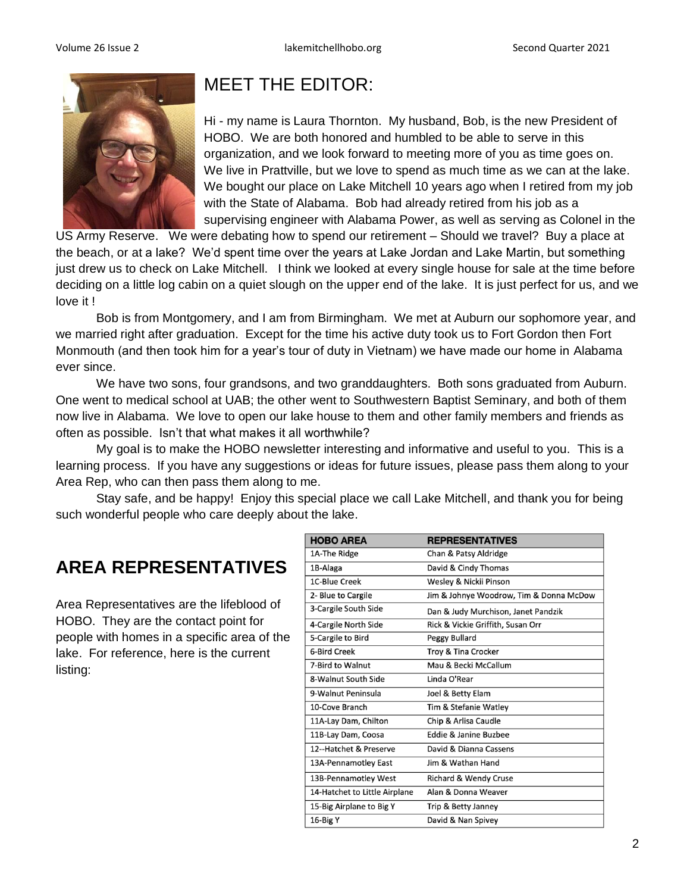

# MEET THE EDITOR:

Hi - my name is Laura Thornton. My husband, Bob, is the new President of HOBO. We are both honored and humbled to be able to serve in this organization, and we look forward to meeting more of you as time goes on. We live in Prattville, but we love to spend as much time as we can at the lake. We bought our place on Lake Mitchell 10 years ago when I retired from my job with the State of Alabama. Bob had already retired from his job as a supervising engineer with Alabama Power, as well as serving as Colonel in the

US Army Reserve. We were debating how to spend our retirement – Should we travel? Buy a place at the beach, or at a lake? We'd spent time over the years at Lake Jordan and Lake Martin, but something just drew us to check on Lake Mitchell. I think we looked at every single house for sale at the time before deciding on a little log cabin on a quiet slough on the upper end of the lake. It is just perfect for us, and we love it !

Bob is from Montgomery, and I am from Birmingham. We met at Auburn our sophomore year, and we married right after graduation. Except for the time his active duty took us to Fort Gordon then Fort Monmouth (and then took him for a year's tour of duty in Vietnam) we have made our home in Alabama ever since.

We have two sons, four grandsons, and two granddaughters. Both sons graduated from Auburn. One went to medical school at UAB; the other went to Southwestern Baptist Seminary, and both of them now live in Alabama. We love to open our lake house to them and other family members and friends as often as possible. Isn't that what makes it all worthwhile?

My goal is to make the HOBO newsletter interesting and informative and useful to you. This is a learning process. If you have any suggestions or ideas for future issues, please pass them along to your Area Rep, who can then pass them along to me.

Stay safe, and be happy! Enjoy this special place we call Lake Mitchell, and thank you for being such wonderful people who care deeply about the lake.

# **AREA REPRESENTATIVES**

Area Representatives are the lifeblood of HOBO. They are the contact point for people with homes in a specific area of the lake. For reference, here is the current listing:

| <b>HOBO AREA</b>              | <b>REPRESENTATIVES</b>                  |
|-------------------------------|-----------------------------------------|
| 1A-The Ridge                  | Chan & Patsy Aldridge                   |
| 1B-Alaga                      | David & Cindy Thomas                    |
| 1C-Blue Creek                 | Wesley & Nickii Pinson                  |
| 2- Blue to Cargile            | Jim & Johnye Woodrow, Tim & Donna McDow |
| 3-Cargile South Side          | Dan & Judy Murchison, Janet Pandzik     |
| 4-Cargile North Side          | Rick & Vickie Griffith, Susan Orr       |
| 5-Cargile to Bird             | Peggy Bullard                           |
| <b>6-Bird Creek</b>           | Troy & Tina Crocker                     |
| 7-Bird to Walnut              | Mau & Becki McCallum                    |
| 8-Walnut South Side           | Linda O'Rear                            |
| 9-Walnut Peninsula            | Joel & Betty Elam                       |
| 10-Cove Branch                | Tim & Stefanie Watley                   |
| 11A-Lay Dam, Chilton          | Chip & Arlisa Caudle                    |
| 11B-Lay Dam, Coosa            | Eddie & Janine Buzbee                   |
| 12--Hatchet & Preserve        | David & Dianna Cassens                  |
| 13A-Pennamotley East          | Jim & Wathan Hand                       |
| 13B-Pennamotley West          | <b>Richard &amp; Wendy Cruse</b>        |
| 14-Hatchet to Little Airplane | Alan & Donna Weaver                     |
| 15-Big Airplane to Big Y      | Trip & Betty Janney                     |
| 16-Big Y                      | David & Nan Spivey                      |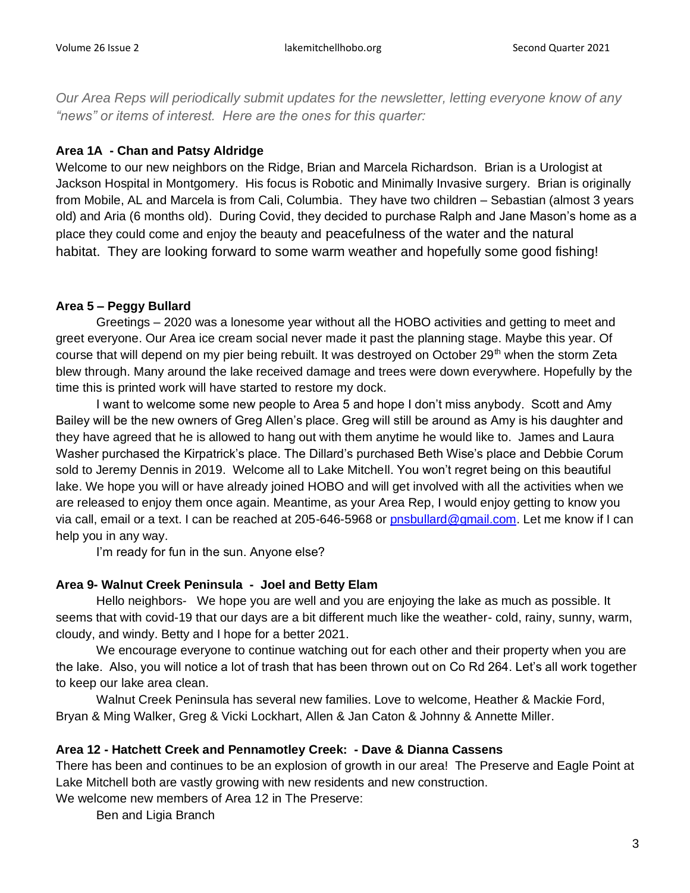*Our Area Reps will periodically submit updates for the newsletter, letting everyone know of any "news" or items of interest. Here are the ones for this quarter:*

#### **Area 1A - Chan and Patsy Aldridge**

Welcome to our new neighbors on the Ridge, Brian and Marcela Richardson. Brian is a Urologist at Jackson Hospital in Montgomery. His focus is Robotic and Minimally Invasive surgery. Brian is originally from Mobile, AL and Marcela is from Cali, Columbia. They have two children – Sebastian (almost 3 years old) and Aria (6 months old). During Covid, they decided to purchase Ralph and Jane Mason's home as a place they could come and enjoy the beauty and peacefulness of the water and the natural habitat. They are looking forward to some warm weather and hopefully some good fishing!

#### **Area 5 – Peggy Bullard**

Greetings – 2020 was a lonesome year without all the HOBO activities and getting to meet and greet everyone. Our Area ice cream social never made it past the planning stage. Maybe this year. Of course that will depend on my pier being rebuilt. It was destroyed on October 29<sup>th</sup> when the storm Zeta blew through. Many around the lake received damage and trees were down everywhere. Hopefully by the time this is printed work will have started to restore my dock.

I want to welcome some new people to Area 5 and hope I don't miss anybody. Scott and Amy Bailey will be the new owners of Greg Allen's place. Greg will still be around as Amy is his daughter and they have agreed that he is allowed to hang out with them anytime he would like to. James and Laura Washer purchased the Kirpatrick's place. The Dillard's purchased Beth Wise's place and Debbie Corum sold to Jeremy Dennis in 2019. Welcome all to Lake Mitchell. You won't regret being on this beautiful lake. We hope you will or have already joined HOBO and will get involved with all the activities when we are released to enjoy them once again. Meantime, as your Area Rep, I would enjoy getting to know you via call, email or a text. I can be reached at 205-646-5968 or [pnsbullard@gmail.com.](mailto:pnsbullard@gmail.com) Let me know if I can help you in any way.

I'm ready for fun in the sun. Anyone else?

#### **Area 9- Walnut Creek Peninsula - Joel and Betty Elam**

 Hello neighbors- We hope you are well and you are enjoying the lake as much as possible. It seems that with covid-19 that our days are a bit different much like the weather- cold, rainy, sunny, warm, cloudy, and windy. Betty and I hope for a better 2021.

We encourage everyone to continue watching out for each other and their property when you are the lake. Also, you will notice a lot of trash that has been thrown out on Co Rd 264. Let's all work together to keep our lake area clean.

Walnut Creek Peninsula has several new families. Love to welcome, Heather & Mackie Ford, Bryan & Ming Walker, Greg & Vicki Lockhart, Allen & Jan Caton & Johnny & Annette Miller.

#### **Area 12 - Hatchett Creek and Pennamotley Creek: - Dave & Dianna Cassens**

There has been and continues to be an explosion of growth in our area! The Preserve and Eagle Point at Lake Mitchell both are vastly growing with new residents and new construction.

We welcome new members of Area 12 in The Preserve:

Ben and Ligia Branch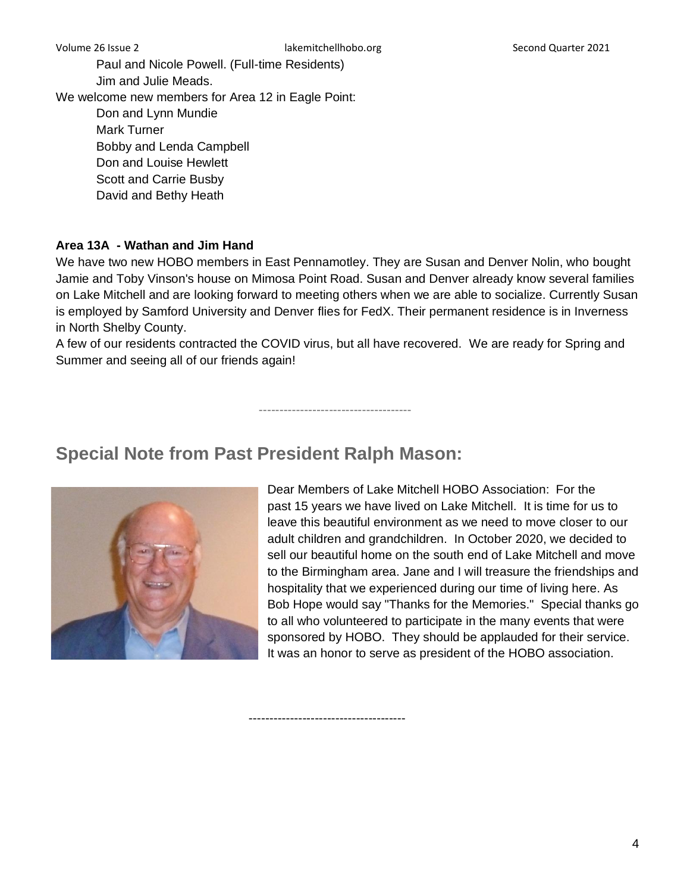Paul and Nicole Powell. (Full-time Residents) Jim and Julie Meads. We welcome new members for Area 12 in Eagle Point:

Don and Lynn Mundie Mark Turner Bobby and Lenda Campbell Don and Louise Hewlett Scott and Carrie Busby David and Bethy Heath

#### **Area 13A - Wathan and Jim Hand**

We have two new HOBO members in East Pennamotley. They are Susan and Denver Nolin, who bought Jamie and Toby Vinson's house on Mimosa Point Road. Susan and Denver already know several families on Lake Mitchell and are looking forward to meeting others when we are able to socialize. Currently Susan is employed by Samford University and Denver flies for FedX. Their permanent residence is in Inverness in North Shelby County.

A few of our residents contracted the COVID virus, but all have recovered. We are ready for Spring and Summer and seeing all of our friends again!

-------------------------------------

--------------------------------------

# **Special Note from Past President Ralph Mason:**



Dear Members of Lake Mitchell HOBO Association: For the past 15 years we have lived on Lake Mitchell. It is time for us to leave this beautiful environment as we need to move closer to our adult children and grandchildren. In October 2020, we decided to sell our beautiful home on the south end of Lake Mitchell and move to the Birmingham area. Jane and I will treasure the friendships and hospitality that we experienced during our time of living here. As Bob Hope would say "Thanks for the Memories." Special thanks go to all who volunteered to participate in the many events that were sponsored by HOBO. They should be applauded for their service. It was an honor to serve as president of the HOBO association.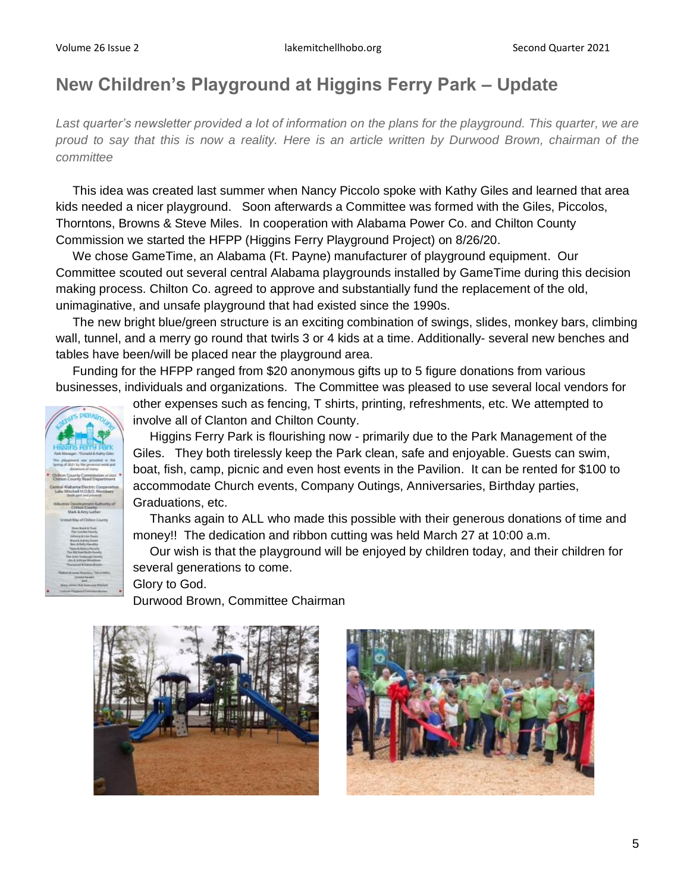# **New Children's Playground at Higgins Ferry Park – Update**

*Last quarter's newsletter provided a lot of information on the plans for the playground. This quarter, we are proud to say that this is now a reality. Here is an article written by Durwood Brown, chairman of the committee*

 This idea was created last summer when Nancy Piccolo spoke with Kathy Giles and learned that area kids needed a nicer playground. Soon afterwards a Committee was formed with the Giles, Piccolos, Thorntons, Browns & Steve Miles. In cooperation with Alabama Power Co. and Chilton County Commission we started the HFPP (Higgins Ferry Playground Project) on 8/26/20.

 We chose GameTime, an Alabama (Ft. Payne) manufacturer of playground equipment. Our Committee scouted out several central Alabama playgrounds installed by GameTime during this decision making process. Chilton Co. agreed to approve and substantially fund the replacement of the old, unimaginative, and unsafe playground that had existed since the 1990s.

 The new bright blue/green structure is an exciting combination of swings, slides, monkey bars, climbing wall, tunnel, and a merry go round that twirls 3 or 4 kids at a time. Additionally- several new benches and tables have been/will be placed near the playground area.

 Funding for the HFPP ranged from \$20 anonymous gifts up to 5 figure donations from various businesses, individuals and organizations. The Committee was pleased to use several local vendors for

other expenses such as fencing, T shirts, printing, refreshments, etc. We attempted to involve all of Clanton and Chilton County.

 Higgins Ferry Park is flourishing now - primarily due to the Park Management of the Giles. They both tirelessly keep the Park clean, safe and enjoyable. Guests can swim, boat, fish, camp, picnic and even host events in the Pavilion. It can be rented for \$100 to accommodate Church events, Company Outings, Anniversaries, Birthday parties, Graduations, etc.

 Thanks again to ALL who made this possible with their generous donations of time and money!! The dedication and ribbon cutting was held March 27 at 10:00 a.m.

 Our wish is that the playground will be enjoyed by children today, and their children for several generations to come.

Glory to God.

Durwood Brown, Committee Chairman



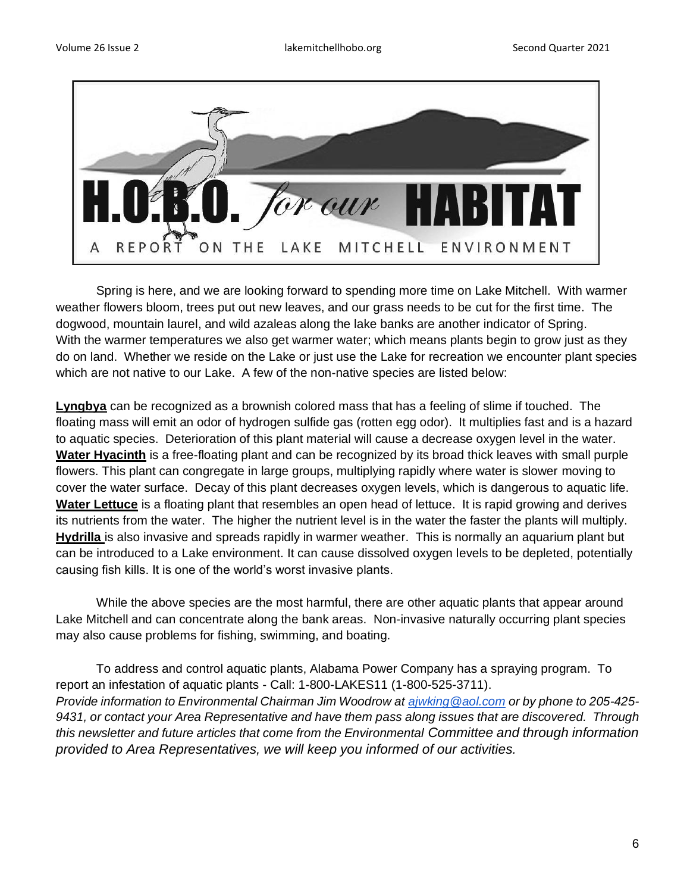

Spring is here, and we are looking forward to spending more time on Lake Mitchell. With warmer weather flowers bloom, trees put out new leaves, and our grass needs to be cut for the first time. The dogwood, mountain laurel, and wild azaleas along the lake banks are another indicator of Spring. With the warmer temperatures we also get warmer water; which means plants begin to grow just as they do on land. Whether we reside on the Lake or just use the Lake for recreation we encounter plant species which are not native to our Lake. A few of the non-native species are listed below:

**Lyngbya** can be recognized as a brownish colored mass that has a feeling of slime if touched. The floating mass will emit an odor of hydrogen sulfide gas (rotten egg odor). It multiplies fast and is a hazard to aquatic species. Deterioration of this plant material will cause a decrease oxygen level in the water. **Water Hyacinth** is a free-floating plant and can be recognized by its broad thick leaves with small purple flowers. This plant can congregate in large groups, multiplying rapidly where water is slower moving to cover the water surface. Decay of this plant decreases oxygen levels, which is dangerous to aquatic life. **Water Lettuce** is a floating plant that resembles an open head of lettuce. It is rapid growing and derives its nutrients from the water. The higher the nutrient level is in the water the faster the plants will multiply. **Hydrilla** is also invasive and spreads rapidly in warmer weather. This is normally an aquarium plant but can be introduced to a Lake environment. It can cause dissolved oxygen levels to be depleted, potentially causing fish kills. It is one of the world's worst invasive plants.

While the above species are the most harmful, there are other aquatic plants that appear around Lake Mitchell and can concentrate along the bank areas. Non-invasive naturally occurring plant species may also cause problems for fishing, swimming, and boating.

To address and control aquatic plants, Alabama Power Company has a spraying program. To report an infestation of aquatic plants - Call: 1-800-LAKES11 (1-800-525-3711). *Provide information to Environmental Chairman Jim Woodrow at [ajwking@aol.com](mailto:ajwking@aol.com) or by phone to 205-425- 9431, or contact your Area Representative and have them pass along issues that are discovered. Through this newsletter and future articles that come from the Environmental Committee and through information provided to Area Representatives, we will keep you informed of our activities.*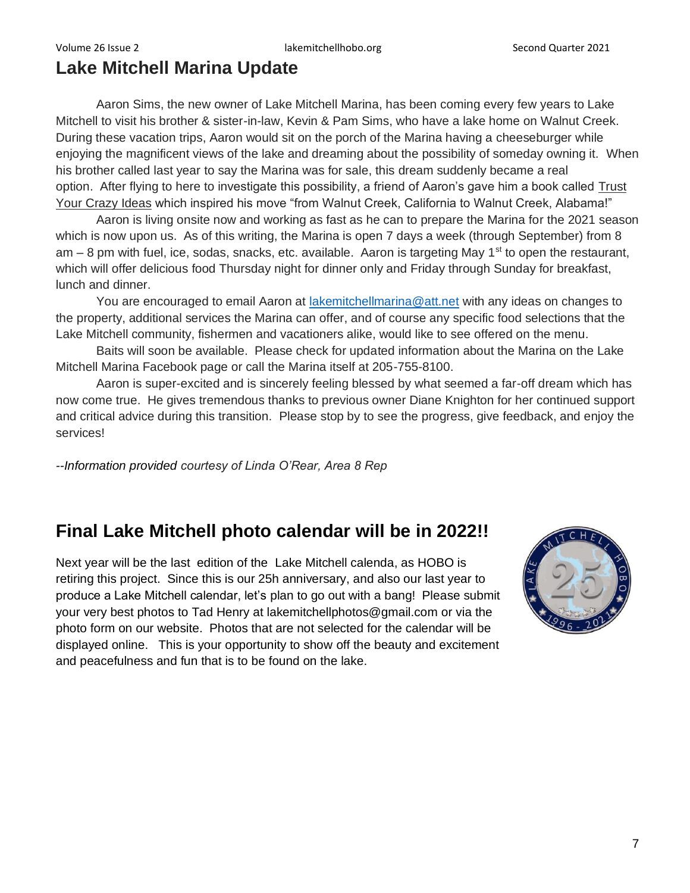## **Lake Mitchell Marina Update**

Aaron Sims, the new owner of Lake Mitchell Marina, has been coming every few years to Lake Mitchell to visit his brother & sister-in-law, Kevin & Pam Sims, who have a lake home on Walnut Creek. During these vacation trips, Aaron would sit on the porch of the Marina having a cheeseburger while enjoying the magnificent views of the lake and dreaming about the possibility of someday owning it. When his brother called last year to say the Marina was for sale, this dream suddenly became a real option. After flying to here to investigate this possibility, a friend of Aaron's gave him a book called Trust Your Crazy Ideas which inspired his move "from Walnut Creek, California to Walnut Creek, Alabama!"

Aaron is living onsite now and working as fast as he can to prepare the Marina for the 2021 season which is now upon us. As of this writing, the Marina is open 7 days a week (through September) from 8 am – 8 pm with fuel, ice, sodas, snacks, etc. available. Aaron is targeting May 1<sup>st</sup> to open the restaurant, which will offer delicious food Thursday night for dinner only and Friday through Sunday for breakfast, lunch and dinner.

You are encouraged to email Aaron at [lakemitchellmarina@att.net](mailto:lakemitchellmarina@att.net) with any ideas on changes to the property, additional services the Marina can offer, and of course any specific food selections that the Lake Mitchell community, fishermen and vacationers alike, would like to see offered on the menu.

Baits will soon be available. Please check for updated information about the Marina on the Lake Mitchell Marina Facebook page or call the Marina itself at 205-755-8100.

Aaron is super-excited and is sincerely feeling blessed by what seemed a far-off dream which has now come true. He gives tremendous thanks to previous owner Diane Knighton for her continued support and critical advice during this transition. Please stop by to see the progress, give feedback, and enjoy the services!

*--Information provided courtesy of Linda O'Rear, Area 8 Rep*

## **Final Lake Mitchell photo calendar will be in 2022!!**

Next year will be the last edition of the Lake Mitchell calenda, as HOBO is retiring this project. Since this is our 25h anniversary, and also our last year to produce a Lake Mitchell calendar, let's plan to go out with a bang! Please submit your very best photos to Tad Henry at lakemitchellphotos@gmail.com or via the photo form on our website. Photos that are not selected for the calendar will be displayed online. This is your opportunity to show off the beauty and excitement and peacefulness and fun that is to be found on the lake.